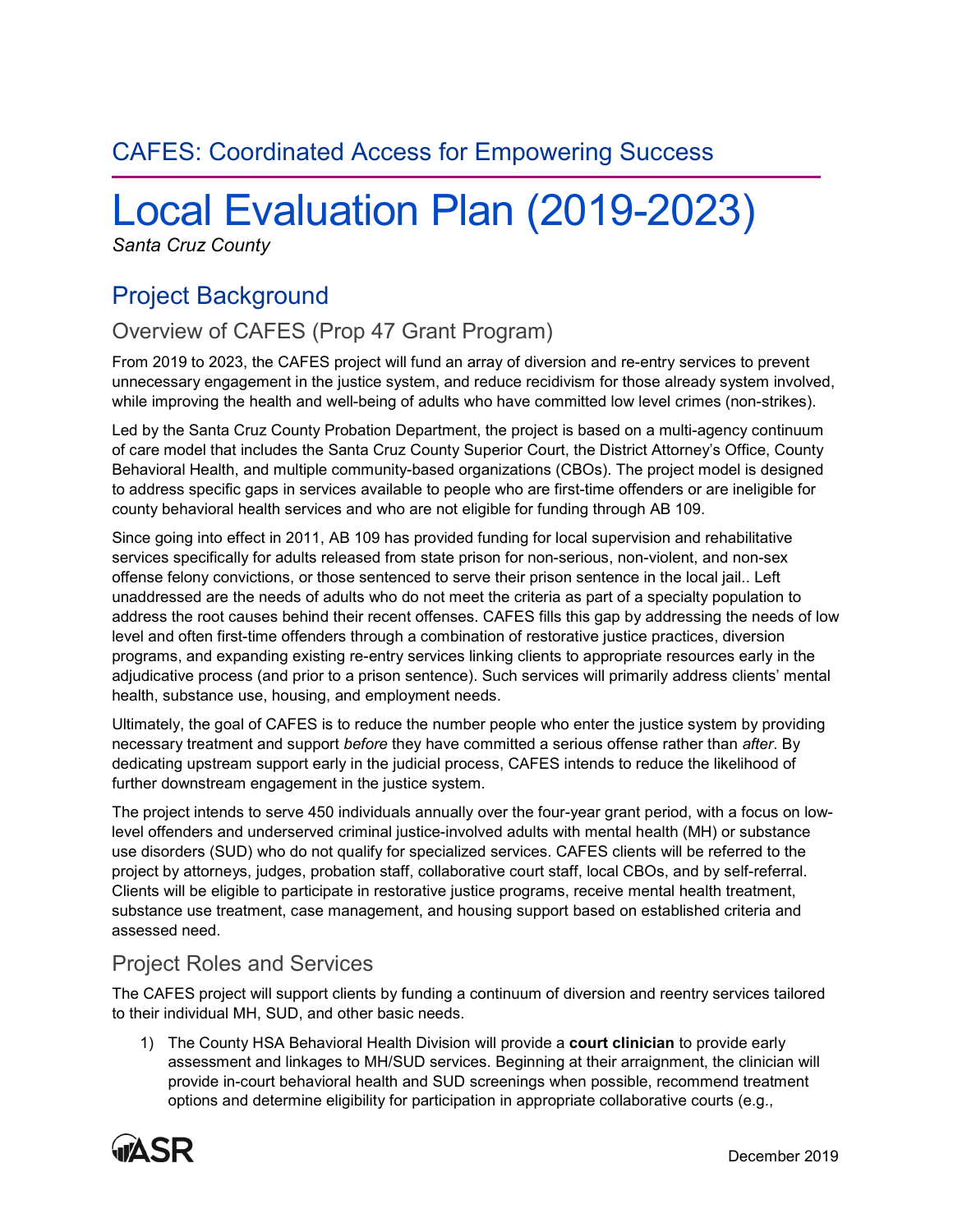# CAFES: Coordinated Access for Empowering Success

# Local Evaluation Plan (2019-2023)

*Santa Cruz County*

# Project Background

# Overview of CAFES (Prop 47 Grant Program)

From 2019 to 2023, the CAFES project will fund an array of diversion and re-entry services to prevent unnecessary engagement in the justice system, and reduce recidivism for those already system involved, while improving the health and well-being of adults who have committed low level crimes (non-strikes).

Led by the Santa Cruz County Probation Department, the project is based on a multi-agency continuum of care model that includes the Santa Cruz County Superior Court, the District Attorney's Office, County Behavioral Health, and multiple community-based organizations (CBOs). The project model is designed to address specific gaps in services available to people who are first-time offenders or are ineligible for county behavioral health services and who are not eligible for funding through AB 109.

Since going into effect in 2011, AB 109 has provided funding for local supervision and rehabilitative services specifically for adults released from state prison for non-serious, non-violent, and non-sex offense felony convictions, or those sentenced to serve their prison sentence in the local jail.. Left unaddressed are the needs of adults who do not meet the criteria as part of a specialty population to address the root causes behind their recent offenses. CAFES fills this gap by addressing the needs of low level and often first-time offenders through a combination of restorative justice practices, diversion programs, and expanding existing re-entry services linking clients to appropriate resources early in the adjudicative process (and prior to a prison sentence). Such services will primarily address clients' mental health, substance use, housing, and employment needs.

Ultimately, the goal of CAFES is to reduce the number people who enter the justice system by providing necessary treatment and support *before* they have committed a serious offense rather than *after*. By dedicating upstream support early in the judicial process, CAFES intends to reduce the likelihood of further downstream engagement in the justice system.

The project intends to serve 450 individuals annually over the four-year grant period, with a focus on lowlevel offenders and underserved criminal justice-involved adults with mental health (MH) or substance use disorders (SUD) who do not qualify for specialized services. CAFES clients will be referred to the project by attorneys, judges, probation staff, collaborative court staff, local CBOs, and by self-referral. Clients will be eligible to participate in restorative justice programs, receive mental health treatment, substance use treatment, case management, and housing support based on established criteria and assessed need.

## Project Roles and Services

The CAFES project will support clients by funding a continuum of diversion and reentry services tailored to their individual MH, SUD, and other basic needs.

1) The County HSA Behavioral Health Division will provide a **court clinician** to provide early assessment and linkages to MH/SUD services. Beginning at their arraignment, the clinician will provide in-court behavioral health and SUD screenings when possible, recommend treatment options and determine eligibility for participation in appropriate collaborative courts (e.g.,

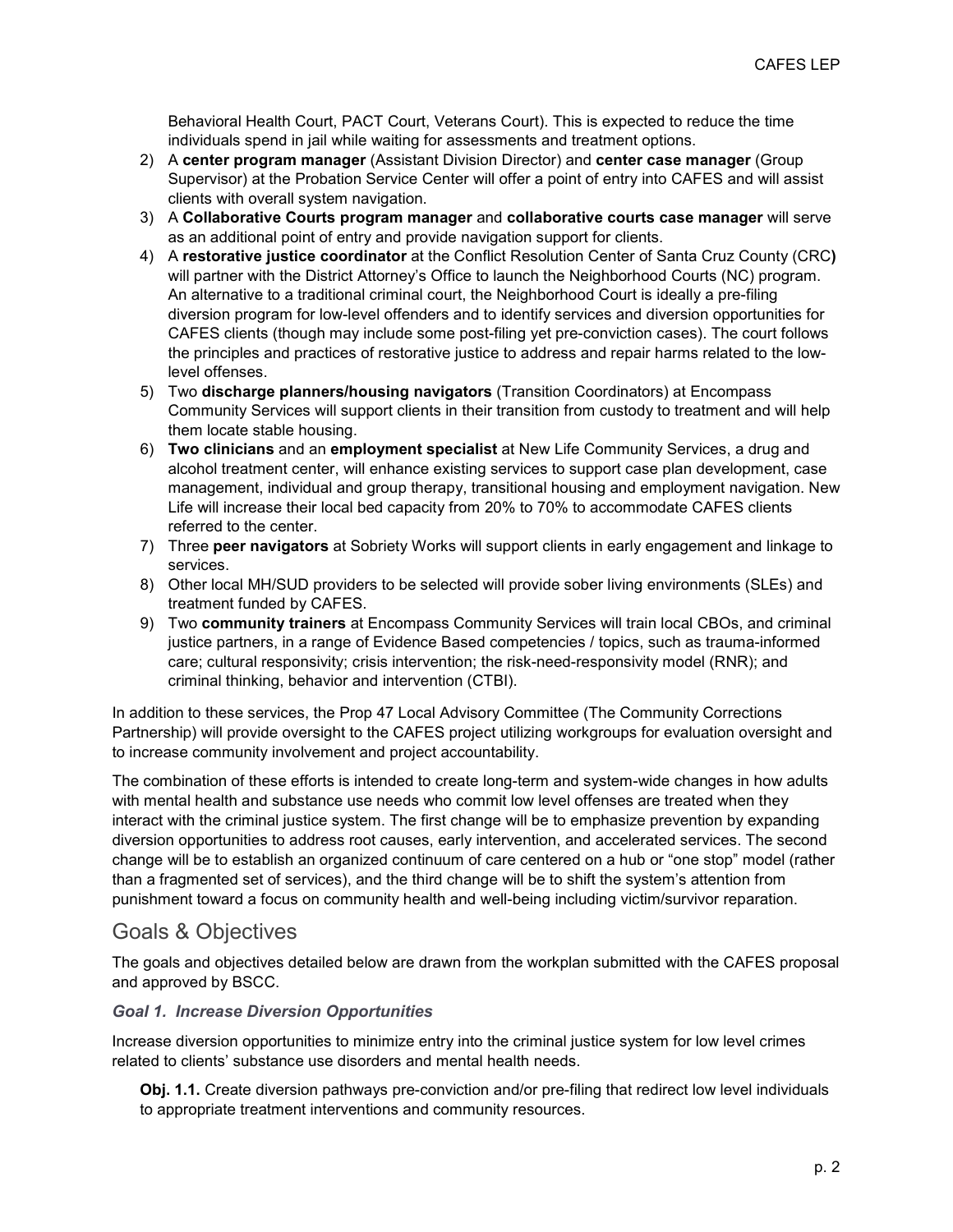Behavioral Health Court, PACT Court, Veterans Court). This is expected to reduce the time individuals spend in jail while waiting for assessments and treatment options.

- 2) A **center program manager** (Assistant Division Director) and **center case manager** (Group Supervisor) at the Probation Service Center will offer a point of entry into CAFES and will assist clients with overall system navigation.
- 3) A **Collaborative Courts program manager** and **collaborative courts case manager** will serve as an additional point of entry and provide navigation support for clients.
- 4) A **restorative justice coordinator** at the Conflict Resolution Center of Santa Cruz County (CRC**)** will partner with the District Attorney's Office to launch the Neighborhood Courts (NC) program. An alternative to a traditional criminal court, the Neighborhood Court is ideally a pre-filing diversion program for low-level offenders and to identify services and diversion opportunities for CAFES clients (though may include some post-filing yet pre-conviction cases). The court follows the principles and practices of restorative justice to address and repair harms related to the lowlevel offenses.
- 5) Two **discharge planners/housing navigators** (Transition Coordinators) at Encompass Community Services will support clients in their transition from custody to treatment and will help them locate stable housing.
- 6) **Two clinicians** and an **employment specialist** at New Life Community Services, a drug and alcohol treatment center, will enhance existing services to support case plan development, case management, individual and group therapy, transitional housing and employment navigation. New Life will increase their local bed capacity from 20% to 70% to accommodate CAFES clients referred to the center.
- 7) Three **peer navigators** at Sobriety Works will support clients in early engagement and linkage to services.
- 8) Other local MH/SUD providers to be selected will provide sober living environments (SLEs) and treatment funded by CAFES.
- 9) Two **community trainers** at Encompass Community Services will train local CBOs, and criminal justice partners, in a range of Evidence Based competencies / topics, such as trauma-informed care; cultural responsivity; crisis intervention; the risk-need-responsivity model (RNR); and criminal thinking, behavior and intervention (CTBI).

In addition to these services, the Prop 47 Local Advisory Committee (The Community Corrections Partnership) will provide oversight to the CAFES project utilizing workgroups for evaluation oversight and to increase community involvement and project accountability.

The combination of these efforts is intended to create long-term and system-wide changes in how adults with mental health and substance use needs who commit low level offenses are treated when they interact with the criminal justice system. The first change will be to emphasize prevention by expanding diversion opportunities to address root causes, early intervention, and accelerated services. The second change will be to establish an organized continuum of care centered on a hub or "one stop" model (rather than a fragmented set of services), and the third change will be to shift the system's attention from punishment toward a focus on community health and well-being including victim/survivor reparation.

# Goals & Objectives

The goals and objectives detailed below are drawn from the workplan submitted with the CAFES proposal and approved by BSCC.

#### *Goal 1. Increase Diversion Opportunities*

Increase diversion opportunities to minimize entry into the criminal justice system for low level crimes related to clients' substance use disorders and mental health needs.

**Obj. 1.1.** Create diversion pathways pre-conviction and/or pre-filing that redirect low level individuals to appropriate treatment interventions and community resources.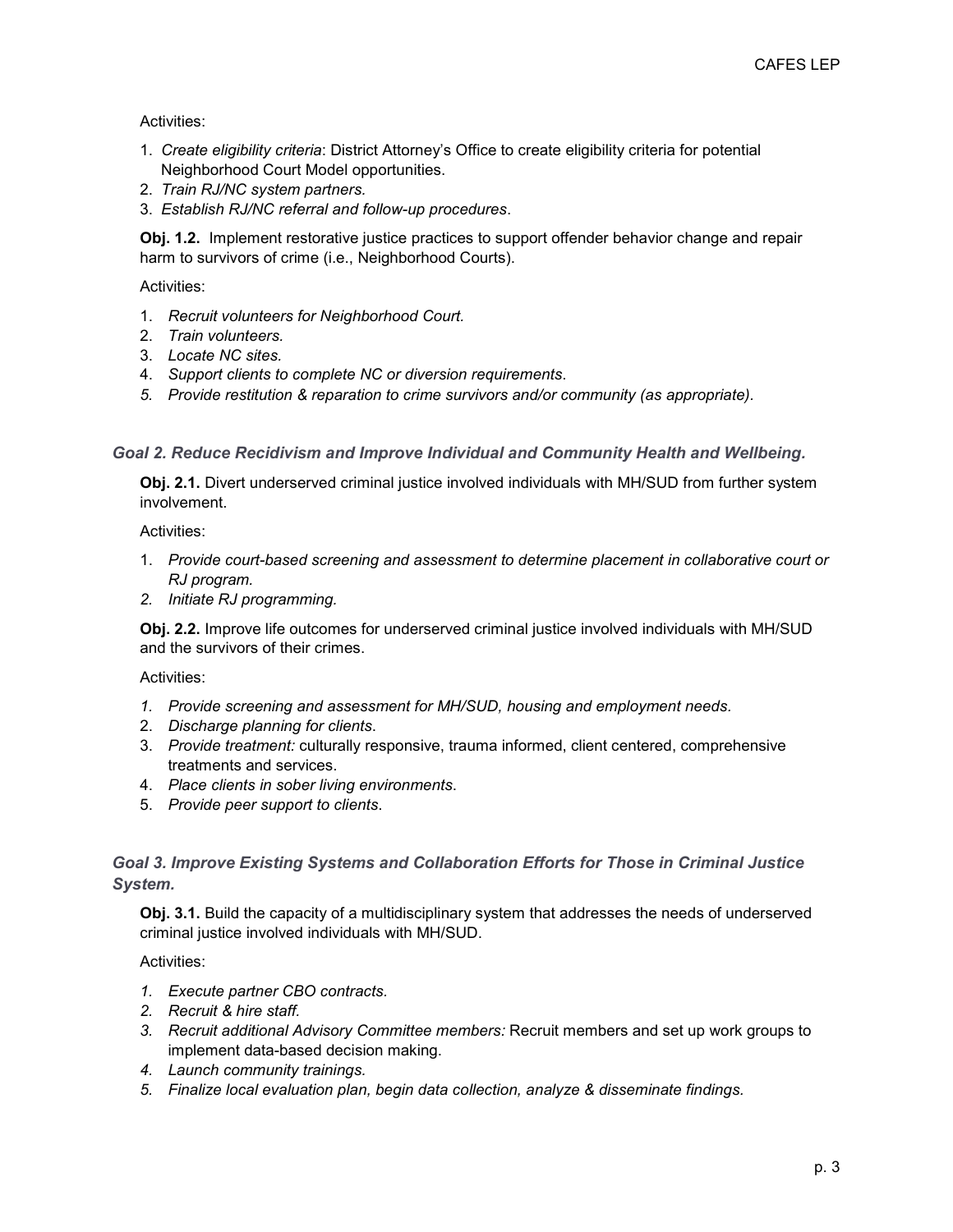Activities:

- 1. *Create eligibility criteria*: District Attorney's Office to create eligibility criteria for potential Neighborhood Court Model opportunities.
- 2. *Train RJ/NC system partners.*
- 3. *Establish RJ/NC referral and follow-up procedures*.

**Obj. 1.2.** Implement restorative justice practices to support offender behavior change and repair harm to survivors of crime (i.e., Neighborhood Courts).

Activities:

- 1. *Recruit volunteers for Neighborhood Court.*
- 2. *Train volunteers.*
- 3. *Locate NC sites.*
- 4. *Support clients to complete NC or diversion requirements*.
- *5. Provide restitution & reparation to crime survivors and/or community (as appropriate).*

*Goal 2. Reduce Recidivism and Improve Individual and Community Health and Wellbeing.*

**Obj. 2.1.** Divert underserved criminal justice involved individuals with MH/SUD from further system involvement.

Activities:

- 1. *Provide court-based screening and assessment to determine placement in collaborative court or RJ program.*
- *2. Initiate RJ programming.*

**Obj. 2.2.** Improve life outcomes for underserved criminal justice involved individuals with MH/SUD and the survivors of their crimes.

Activities:

- *1. Provide screening and assessment for MH/SUD, housing and employment needs.*
- 2. *Discharge planning for clients*.
- 3. *Provide treatment:* culturally responsive, trauma informed, client centered, comprehensive treatments and services.
- 4. *Place clients in sober living environments*.
- 5. *Provide peer support to clients*.

#### *Goal 3. Improve Existing Systems and Collaboration Efforts for Those in Criminal Justice System.*

**Obj. 3.1.** Build the capacity of a multidisciplinary system that addresses the needs of underserved criminal justice involved individuals with MH/SUD.

Activities:

- *1. Execute partner CBO contracts.*
- *2. Recruit & hire staff.*
- *3. Recruit additional Advisory Committee members:* Recruit members and set up work groups to implement data-based decision making.
- *4. Launch community trainings.*
- *5. Finalize local evaluation plan, begin data collection, analyze & disseminate findings.*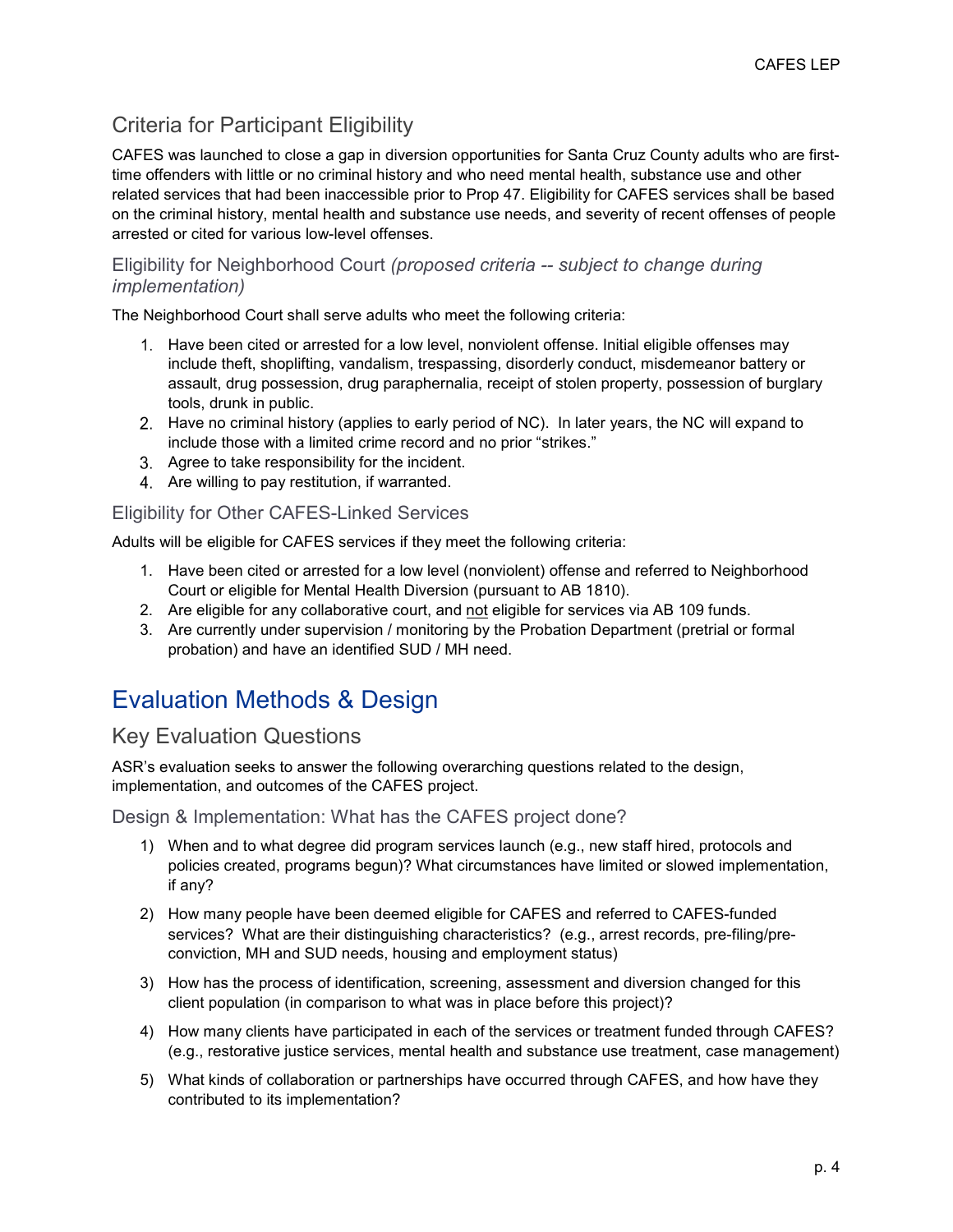# Criteria for Participant Eligibility

CAFES was launched to close a gap in diversion opportunities for Santa Cruz County adults who are firsttime offenders with little or no criminal history and who need mental health, substance use and other related services that had been inaccessible prior to Prop 47. Eligibility for CAFES services shall be based on the criminal history, mental health and substance use needs, and severity of recent offenses of people arrested or cited for various low-level offenses.

#### Eligibility for Neighborhood Court *(proposed criteria -- subject to change during implementation)*

The Neighborhood Court shall serve adults who meet the following criteria:

- 1. Have been cited or arrested for a low level, nonviolent offense. Initial eligible offenses may include theft, shoplifting, vandalism, trespassing, disorderly conduct, misdemeanor battery or assault, drug possession, drug paraphernalia, receipt of stolen property, possession of burglary tools, drunk in public.
- Have no criminal history (applies to early period of NC). In later years, the NC will expand to include those with a limited crime record and no prior "strikes."
- 3. Agree to take responsibility for the incident.
- 4. Are willing to pay restitution, if warranted.

#### Eligibility for Other CAFES-Linked Services

Adults will be eligible for CAFES services if they meet the following criteria:

- 1. Have been cited or arrested for a low level (nonviolent) offense and referred to Neighborhood Court or eligible for Mental Health Diversion (pursuant to AB 1810).
- 2. Are eligible for any collaborative court, and not eligible for services via AB 109 funds.
- 3. Are currently under supervision / monitoring by the Probation Department (pretrial or formal probation) and have an identified SUD / MH need.

# Evaluation Methods & Design

## Key Evaluation Questions

ASR's evaluation seeks to answer the following overarching questions related to the design, implementation, and outcomes of the CAFES project.

Design & Implementation: What has the CAFES project done?

- 1) When and to what degree did program services launch (e.g., new staff hired, protocols and policies created, programs begun)? What circumstances have limited or slowed implementation, if any?
- 2) How many people have been deemed eligible for CAFES and referred to CAFES-funded services? What are their distinguishing characteristics? (e.g., arrest records, pre-filing/preconviction, MH and SUD needs, housing and employment status)
- 3) How has the process of identification, screening, assessment and diversion changed for this client population (in comparison to what was in place before this project)?
- 4) How many clients have participated in each of the services or treatment funded through CAFES? (e.g., restorative justice services, mental health and substance use treatment, case management)
- 5) What kinds of collaboration or partnerships have occurred through CAFES, and how have they contributed to its implementation?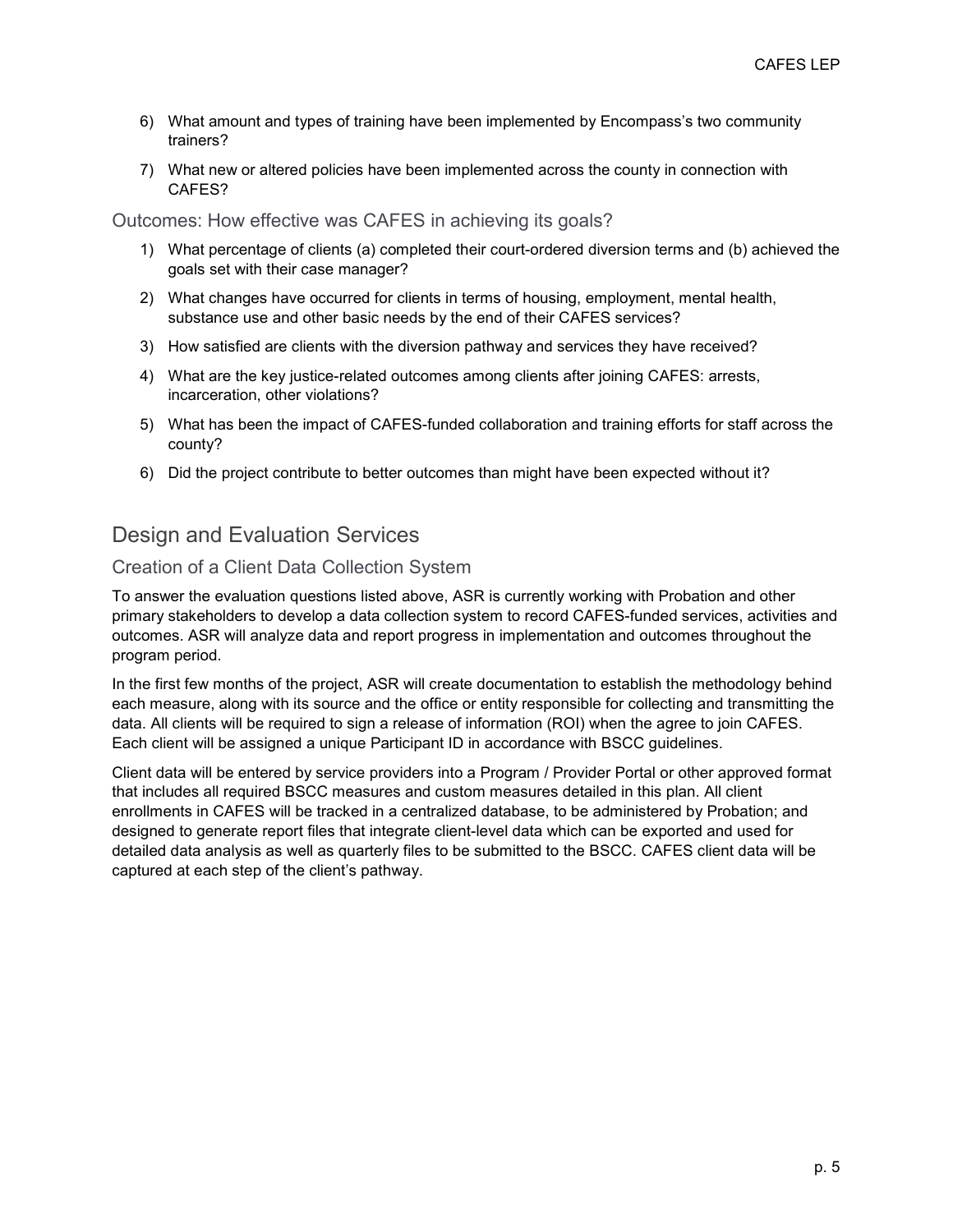- 6) What amount and types of training have been implemented by Encompass's two community trainers?
- 7) What new or altered policies have been implemented across the county in connection with CAFES?

Outcomes: How effective was CAFES in achieving its goals?

- 1) What percentage of clients (a) completed their court-ordered diversion terms and (b) achieved the goals set with their case manager?
- 2) What changes have occurred for clients in terms of housing, employment, mental health, substance use and other basic needs by the end of their CAFES services?
- 3) How satisfied are clients with the diversion pathway and services they have received?
- 4) What are the key justice-related outcomes among clients after joining CAFES: arrests, incarceration, other violations?
- 5) What has been the impact of CAFES-funded collaboration and training efforts for staff across the county?
- 6) Did the project contribute to better outcomes than might have been expected without it?

## Design and Evaluation Services

#### Creation of a Client Data Collection System

To answer the evaluation questions listed above, ASR is currently working with Probation and other primary stakeholders to develop a data collection system to record CAFES-funded services, activities and outcomes. ASR will analyze data and report progress in implementation and outcomes throughout the program period.

In the first few months of the project, ASR will create documentation to establish the methodology behind each measure, along with its source and the office or entity responsible for collecting and transmitting the data. All clients will be required to sign a release of information (ROI) when the agree to join CAFES. Each client will be assigned a unique Participant ID in accordance with BSCC guidelines.

Client data will be entered by service providers into a Program / Provider Portal or other approved format that includes all required BSCC measures and custom measures detailed in this plan. All client enrollments in CAFES will be tracked in a centralized database, to be administered by Probation; and designed to generate report files that integrate client-level data which can be exported and used for detailed data analysis as well as quarterly files to be submitted to the BSCC. CAFES client data will be captured at each step of the client's pathway.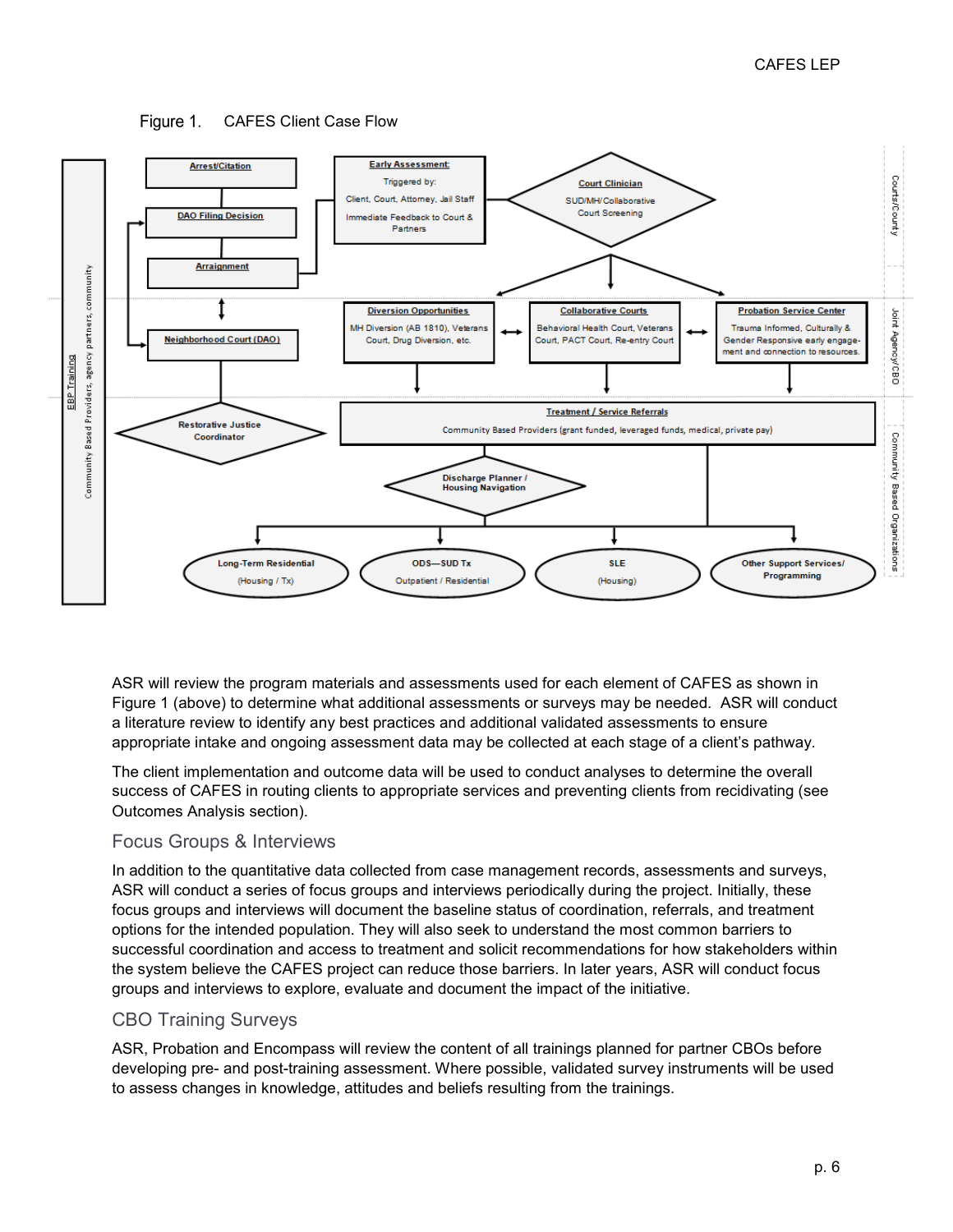



ASR will review the program materials and assessments used for each element of CAFES as shown in Figure 1 (above) to determine what additional assessments or surveys may be needed. ASR will conduct a literature review to identify any best practices and additional validated assessments to ensure appropriate intake and ongoing assessment data may be collected at each stage of a client's pathway.

The client implementation and outcome data will be used to conduct analyses to determine the overall success of CAFES in routing clients to appropriate services and preventing clients from recidivating (see Outcomes Analysis section).

#### Focus Groups & Interviews

In addition to the quantitative data collected from case management records, assessments and surveys, ASR will conduct a series of focus groups and interviews periodically during the project. Initially, these focus groups and interviews will document the baseline status of coordination, referrals, and treatment options for the intended population. They will also seek to understand the most common barriers to successful coordination and access to treatment and solicit recommendations for how stakeholders within the system believe the CAFES project can reduce those barriers. In later years, ASR will conduct focus groups and interviews to explore, evaluate and document the impact of the initiative.

#### CBO Training Surveys

ASR, Probation and Encompass will review the content of all trainings planned for partner CBOs before developing pre- and post-training assessment. Where possible, validated survey instruments will be used to assess changes in knowledge, attitudes and beliefs resulting from the trainings.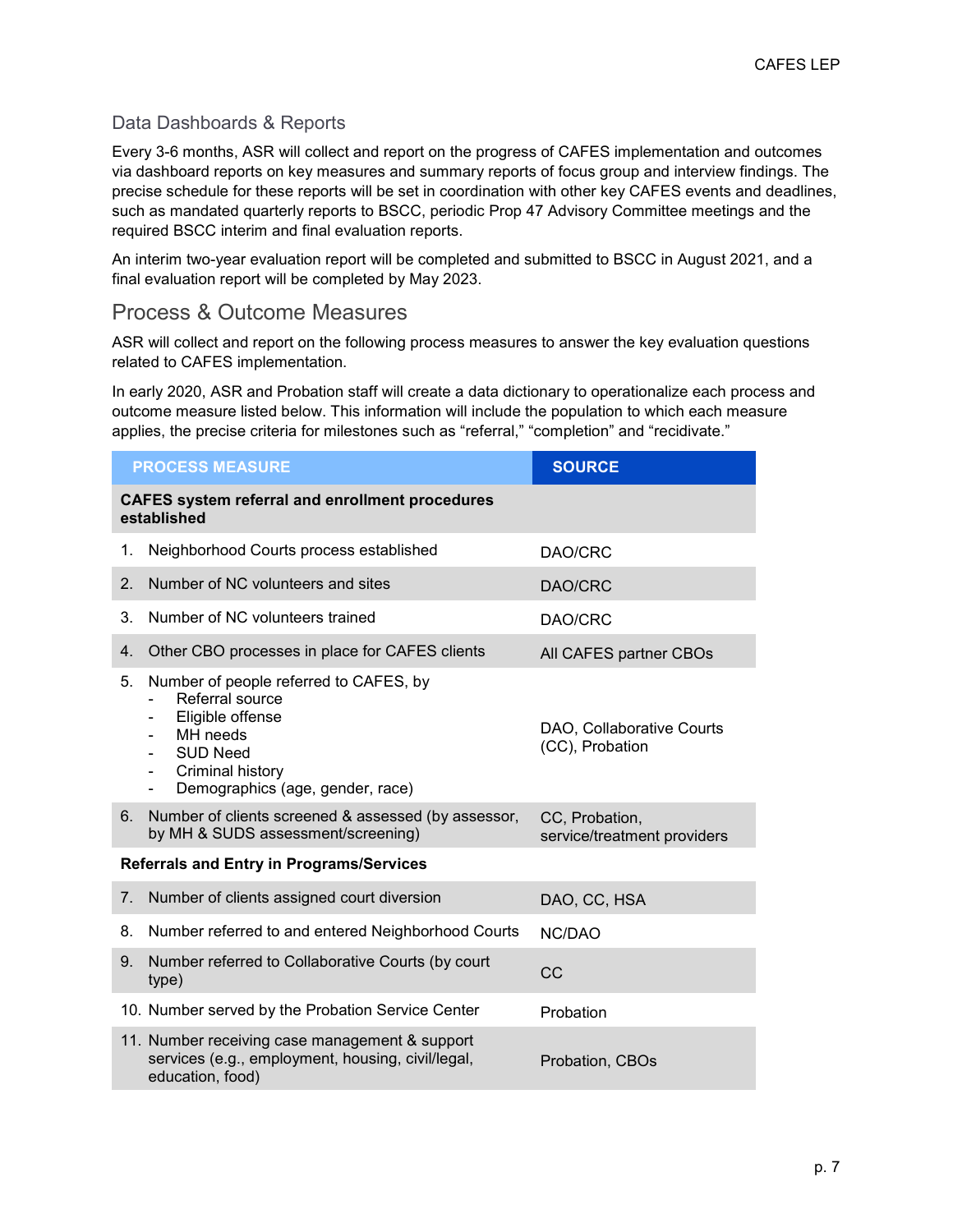### Data Dashboards & Reports

Every 3-6 months, ASR will collect and report on the progress of CAFES implementation and outcomes via dashboard reports on key measures and summary reports of focus group and interview findings. The precise schedule for these reports will be set in coordination with other key CAFES events and deadlines, such as mandated quarterly reports to BSCC, periodic Prop 47 Advisory Committee meetings and the required BSCC interim and final evaluation reports.

An interim two-year evaluation report will be completed and submitted to BSCC in August 2021, and a final evaluation report will be completed by May 2023.

### Process & Outcome Measures

ASR will collect and report on the following process measures to answer the key evaluation questions related to CAFES implementation.

In early 2020, ASR and Probation staff will create a data dictionary to operationalize each process and outcome measure listed below. This information will include the population to which each measure applies, the precise criteria for milestones such as "referral," "completion" and "recidivate."

| <b>PROCESS MEASURE</b>                                                |                                                                                                                                                                                                  | <b>SOURCE</b>                                 |  |  |
|-----------------------------------------------------------------------|--------------------------------------------------------------------------------------------------------------------------------------------------------------------------------------------------|-----------------------------------------------|--|--|
| <b>CAFES system referral and enrollment procedures</b><br>established |                                                                                                                                                                                                  |                                               |  |  |
| 1.                                                                    | Neighborhood Courts process established                                                                                                                                                          | DAO/CRC                                       |  |  |
| 2.                                                                    | Number of NC volunteers and sites                                                                                                                                                                | DAO/CRC                                       |  |  |
| 3.                                                                    | Number of NC volunteers trained                                                                                                                                                                  | DAO/CRC                                       |  |  |
| 4.                                                                    | Other CBO processes in place for CAFES clients                                                                                                                                                   | All CAFES partner CBOs                        |  |  |
| 5.                                                                    | Number of people referred to CAFES, by<br>Referral source<br>Eligible offense<br>MH needs<br><b>SUD Need</b><br>Criminal history<br>$\overline{\phantom{0}}$<br>Demographics (age, gender, race) | DAO, Collaborative Courts<br>(CC), Probation  |  |  |
| 6.                                                                    | Number of clients screened & assessed (by assessor,<br>by MH & SUDS assessment/screening)                                                                                                        | CC, Probation,<br>service/treatment providers |  |  |
| <b>Referrals and Entry in Programs/Services</b>                       |                                                                                                                                                                                                  |                                               |  |  |
| 7.                                                                    | Number of clients assigned court diversion                                                                                                                                                       | DAO, CC, HSA                                  |  |  |
| 8.                                                                    | Number referred to and entered Neighborhood Courts                                                                                                                                               | NC/DAO                                        |  |  |
| 9.                                                                    | Number referred to Collaborative Courts (by court<br>type)                                                                                                                                       | CC                                            |  |  |
|                                                                       | 10. Number served by the Probation Service Center                                                                                                                                                | Probation                                     |  |  |
|                                                                       | 11. Number receiving case management & support<br>services (e.g., employment, housing, civil/legal,<br>education, food)                                                                          | Probation, CBOs                               |  |  |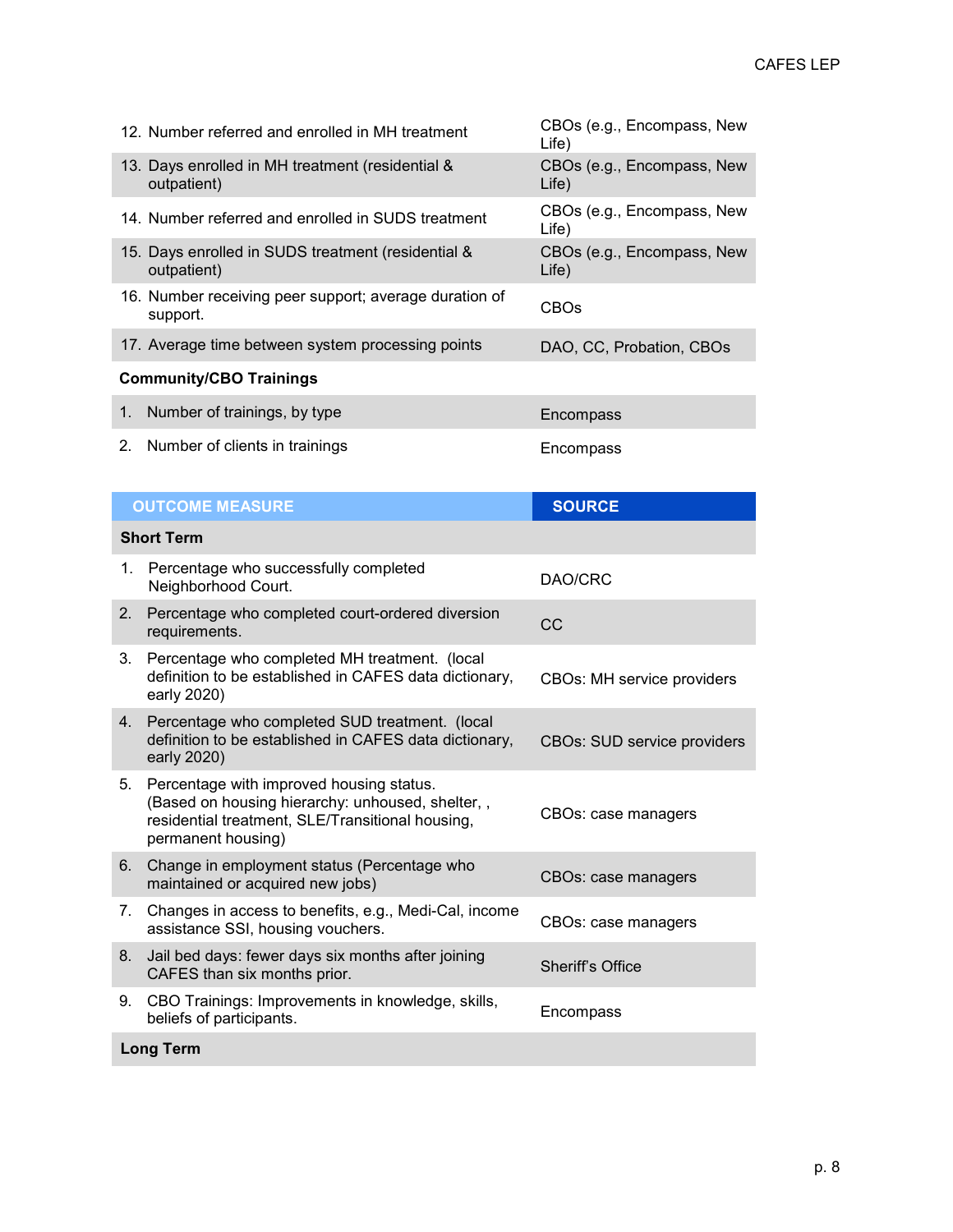| 12. Number referred and enrolled in MH treatment                   | CBOs (e.g., Encompass, New<br>Life) |  |  |
|--------------------------------------------------------------------|-------------------------------------|--|--|
| 13. Days enrolled in MH treatment (residential &<br>outpatient)    | CBOs (e.g., Encompass, New<br>Life) |  |  |
| 14. Number referred and enrolled in SUDS treatment                 | CBOs (e.g., Encompass, New<br>Life) |  |  |
| 15. Days enrolled in SUDS treatment (residential &<br>outpatient)  | CBOs (e.g., Encompass, New<br>Life) |  |  |
| 16. Number receiving peer support; average duration of<br>support. | <b>CBOs</b>                         |  |  |
| 17. Average time between system processing points                  | DAO, CC, Probation, CBOs            |  |  |
| <b>Community/CBO Trainings</b>                                     |                                     |  |  |
| Number of trainings, by type                                       | Encompass                           |  |  |

2. Number of clients in trainings entitled and the encompass

| <b>OUTCOME MEASURE</b> |                                                                                                                                                                        | <b>SOURCE</b>                      |  |  |
|------------------------|------------------------------------------------------------------------------------------------------------------------------------------------------------------------|------------------------------------|--|--|
| <b>Short Term</b>      |                                                                                                                                                                        |                                    |  |  |
| 1.                     | Percentage who successfully completed<br>Neighborhood Court.                                                                                                           | DAO/CRC                            |  |  |
| 2.                     | Percentage who completed court-ordered diversion<br>requirements.                                                                                                      | CC                                 |  |  |
| 3.                     | Percentage who completed MH treatment. (local<br>definition to be established in CAFES data dictionary,<br>early 2020)                                                 | <b>CBOs: MH service providers</b>  |  |  |
| 4.                     | Percentage who completed SUD treatment. (local<br>definition to be established in CAFES data dictionary,<br>early 2020)                                                | <b>CBOs: SUD service providers</b> |  |  |
| 5.                     | Percentage with improved housing status.<br>(Based on housing hierarchy: unhoused, shelter,,<br>residential treatment, SLE/Transitional housing,<br>permanent housing) | CBOs: case managers                |  |  |
| 6.                     | Change in employment status (Percentage who<br>maintained or acquired new jobs)                                                                                        | CBOs: case managers                |  |  |
| 7.                     | Changes in access to benefits, e.g., Medi-Cal, income<br>assistance SSI, housing vouchers.                                                                             | CBOs: case managers                |  |  |
| 8.                     | Jail bed days: fewer days six months after joining<br>CAFES than six months prior.                                                                                     | <b>Sheriff's Office</b>            |  |  |
| 9.                     | CBO Trainings: Improvements in knowledge, skills,<br>beliefs of participants.                                                                                          | Encompass                          |  |  |
| <b>Long Term</b>       |                                                                                                                                                                        |                                    |  |  |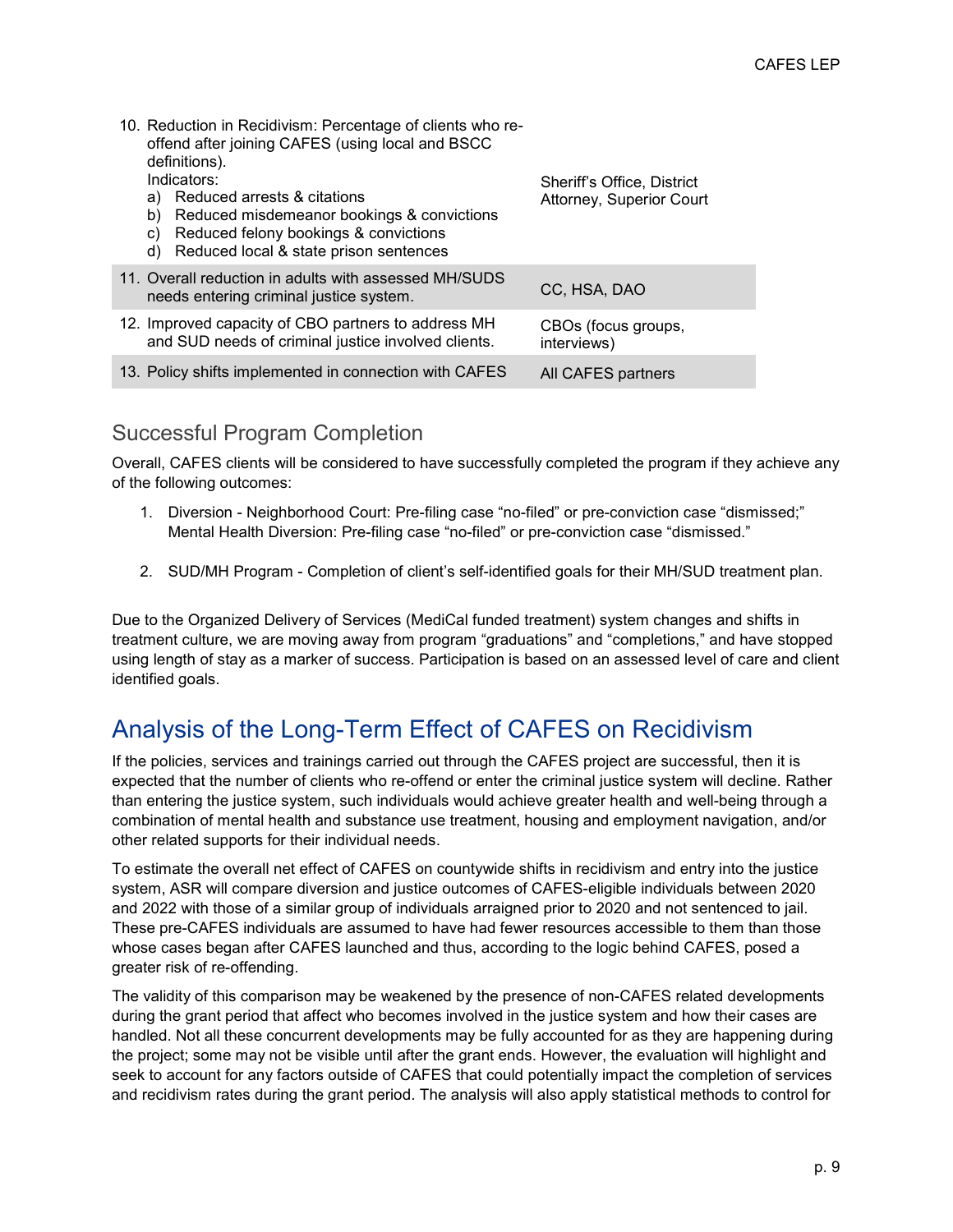| 10. Reduction in Recidivism: Percentage of clients who re-<br>offend after joining CAFES (using local and BSCC<br>definitions).<br>Indicators:<br>Reduced arrests & citations<br>a)<br>b)<br>Reduced misdemeanor bookings & convictions<br>Reduced felony bookings & convictions<br>C)<br>Reduced local & state prison sentences<br>d) | Sheriff's Office, District<br>Attorney, Superior Court |
|----------------------------------------------------------------------------------------------------------------------------------------------------------------------------------------------------------------------------------------------------------------------------------------------------------------------------------------|--------------------------------------------------------|
| 11. Overall reduction in adults with assessed MH/SUDS<br>needs entering criminal justice system.                                                                                                                                                                                                                                       | CC, HSA, DAO                                           |
| 12. Improved capacity of CBO partners to address MH<br>and SUD needs of criminal justice involved clients.                                                                                                                                                                                                                             | CBOs (focus groups,<br>interviews)                     |
| 13. Policy shifts implemented in connection with CAFES                                                                                                                                                                                                                                                                                 | All CAFES partners                                     |

## Successful Program Completion

Overall, CAFES clients will be considered to have successfully completed the program if they achieve any of the following outcomes:

- 1. Diversion Neighborhood Court: Pre-filing case "no-filed" or pre-conviction case "dismissed;" Mental Health Diversion: Pre-filing case "no-filed" or pre-conviction case "dismissed."
- 2. SUD/MH Program Completion of client's self-identified goals for their MH/SUD treatment plan.

Due to the Organized Delivery of Services (MediCal funded treatment) system changes and shifts in treatment culture, we are moving away from program "graduations" and "completions," and have stopped using length of stay as a marker of success. Participation is based on an assessed level of care and client identified goals.

# Analysis of the Long-Term Effect of CAFES on Recidivism

If the policies, services and trainings carried out through the CAFES project are successful, then it is expected that the number of clients who re-offend or enter the criminal justice system will decline. Rather than entering the justice system, such individuals would achieve greater health and well-being through a combination of mental health and substance use treatment, housing and employment navigation, and/or other related supports for their individual needs.

To estimate the overall net effect of CAFES on countywide shifts in recidivism and entry into the justice system, ASR will compare diversion and justice outcomes of CAFES-eligible individuals between 2020 and 2022 with those of a similar group of individuals arraigned prior to 2020 and not sentenced to jail. These pre-CAFES individuals are assumed to have had fewer resources accessible to them than those whose cases began after CAFES launched and thus, according to the logic behind CAFES, posed a greater risk of re-offending.

The validity of this comparison may be weakened by the presence of non-CAFES related developments during the grant period that affect who becomes involved in the justice system and how their cases are handled. Not all these concurrent developments may be fully accounted for as they are happening during the project; some may not be visible until after the grant ends. However, the evaluation will highlight and seek to account for any factors outside of CAFES that could potentially impact the completion of services and recidivism rates during the grant period. The analysis will also apply statistical methods to control for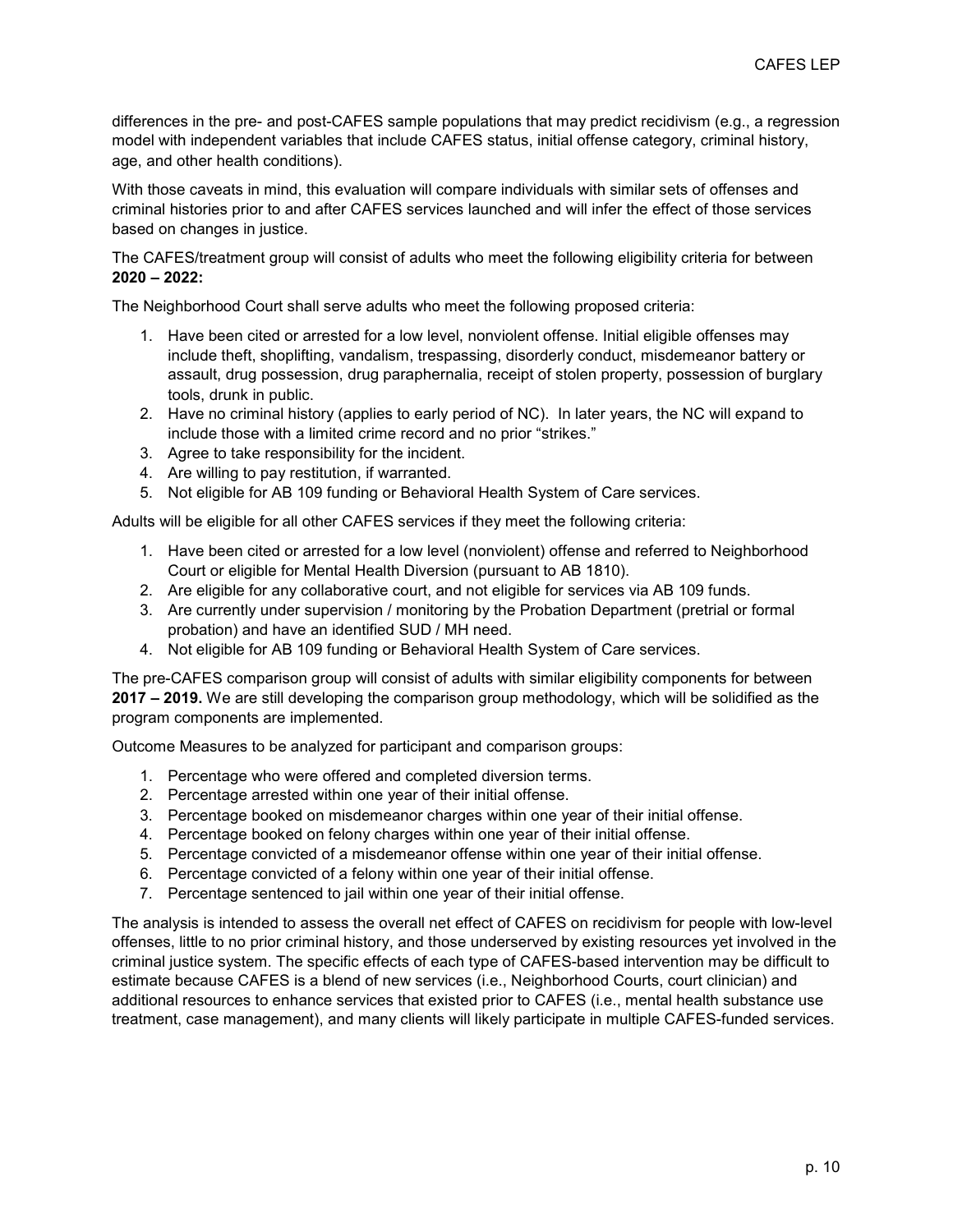differences in the pre- and post-CAFES sample populations that may predict recidivism (e.g., a regression model with independent variables that include CAFES status, initial offense category, criminal history, age, and other health conditions).

With those caveats in mind, this evaluation will compare individuals with similar sets of offenses and criminal histories prior to and after CAFES services launched and will infer the effect of those services based on changes in justice.

The CAFES/treatment group will consist of adults who meet the following eligibility criteria for between **2020 – 2022:**

The Neighborhood Court shall serve adults who meet the following proposed criteria:

- 1. Have been cited or arrested for a low level, nonviolent offense. Initial eligible offenses may include theft, shoplifting, vandalism, trespassing, disorderly conduct, misdemeanor battery or assault, drug possession, drug paraphernalia, receipt of stolen property, possession of burglary tools, drunk in public.
- 2. Have no criminal history (applies to early period of NC). In later years, the NC will expand to include those with a limited crime record and no prior "strikes."
- 3. Agree to take responsibility for the incident.
- 4. Are willing to pay restitution, if warranted.
- 5. Not eligible for AB 109 funding or Behavioral Health System of Care services.

Adults will be eligible for all other CAFES services if they meet the following criteria:

- 1. Have been cited or arrested for a low level (nonviolent) offense and referred to Neighborhood Court or eligible for Mental Health Diversion (pursuant to AB 1810).
- 2. Are eligible for any collaborative court, and not eligible for services via AB 109 funds.
- 3. Are currently under supervision / monitoring by the Probation Department (pretrial or formal probation) and have an identified SUD / MH need.
- 4. Not eligible for AB 109 funding or Behavioral Health System of Care services.

The pre-CAFES comparison group will consist of adults with similar eligibility components for between **2017 – 2019.** We are still developing the comparison group methodology, which will be solidified as the program components are implemented.

Outcome Measures to be analyzed for participant and comparison groups:

- 1. Percentage who were offered and completed diversion terms.
- 2. Percentage arrested within one year of their initial offense.
- 3. Percentage booked on misdemeanor charges within one year of their initial offense.
- 4. Percentage booked on felony charges within one year of their initial offense.
- 5. Percentage convicted of a misdemeanor offense within one year of their initial offense.
- 6. Percentage convicted of a felony within one year of their initial offense.
- 7. Percentage sentenced to jail within one year of their initial offense.

The analysis is intended to assess the overall net effect of CAFES on recidivism for people with low-level offenses, little to no prior criminal history, and those underserved by existing resources yet involved in the criminal justice system. The specific effects of each type of CAFES-based intervention may be difficult to estimate because CAFES is a blend of new services (i.e., Neighborhood Courts, court clinician) and additional resources to enhance services that existed prior to CAFES (i.e., mental health substance use treatment, case management), and many clients will likely participate in multiple CAFES-funded services.